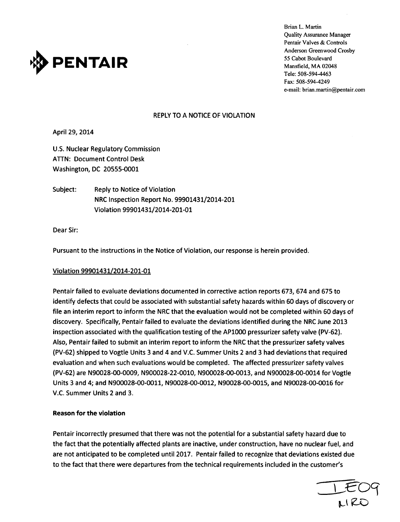

Brian L. Martin Quality Assurance Manager Pentair Valves & Controls Anderson Greenwood Crosby Tele: 508-594-4463 Fax: 508-594-4249 e-mail: brian.martin@pentair.com

### REPLY TO A NOTICE OF VIOLATION

April 29, 2014

U.S. Nuclear Regulatory Commission ATTN: Document Control Desk Washington, DC 20555-0001

Subject: Reply to Notice of Violation NRC Inspection Report No. 99901431/2014-201 Violation 99901431/2014-201-01

Dear Sir:

Pursuant to the instructions in the Notice of Violation, our response is herein provided.

### Violation 99901431/2014-201-01

Pentair failed to evaluate deviations documented in corrective action reports 673, 674 and 675 to identify defects that could be associated with substantial safety hazards within 60 days of discovery or file an interim report to inform the NRC that the evaluation would not be completed within 60 days of discovery. Specifically, Pentair failed to evaluate the deviations identified during the NRC June 2013 inspection associated with the qualification testing of the AP1000 pressurizer safety valve (PV-62). Also, Pentair failed to submit an interim report to inform the NRC that the pressurizer safety valves (PV-62) shipped to Vogtle Units 3 and 4 and V.C. Summer Units 2 and 3 had deviations that required evaluation and when such evaluations would be completed. The affected pressurizer safety valves (PV-62) are N90028-00-0009, N900028-22-0010, N900028-00-0013, and N900028-00-0014 for Vogtle Units 3 and 4; and N900028-00-0011, N90028-00-0012, N90028-00-0015, and N90028-00-0016 for V.C. Summer Units 2 and 3.

### Reason for the violation

Pentair incorrectly presumed that there was not the potential for a substantial safety hazard due to the fact that the potentially affected plants are inactive, under construction, have no nuclear fuel, and are not anticipated to be completed until 2017. Pentair failed to recognize that deviations existed due to the fact that there were departures from the technical requirements included in the customer's

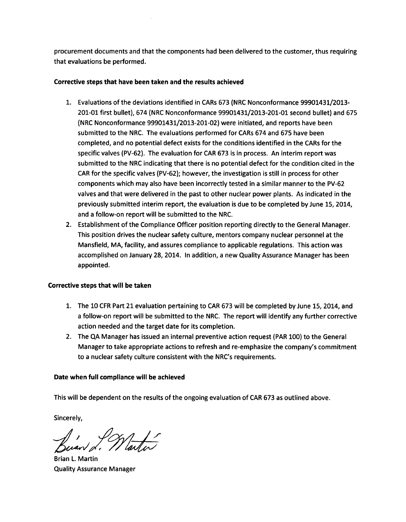procurement documents and that the components had been delivered to the customer, thus requiring that evaluations be performed.

## Corrective steps that have been taken and the results achieved

- 1. Evaluations of the deviations identified in CARs 673 (NRC Nonconformance 99901431/2013- 201-01 first bullet), 674 (NRC Nonconformance 99901431/2013-201-01 second bullet) and 675 (NRC Nonconformance 99901431/2013-201-02) were initiated, and reports have been submitted to the NRC. The evaluations performed for CARs 674 and 675 have been completed, and no potential defect exists for the conditions identified in the CARs for the specific valves (PV-62). The evaluation for CAR 673 is in process. An interim report was submitted to the NRC indicating that there is no potential defect for the condition cited in the CAR for the specific valves (PV-62); however, the investigation is still in process for other components which may also have been incorrectly tested in a similar manner to the PV-62 valves and that were delivered in the past to other nuclear power plants. As indicated in the previously submitted interim report, the evaluation is due to be completed by June 15, 2014, and a follow-on report will be submitted to the NRC.
- 2. Establishment of the Compliance Officer position reporting directly to the General Manager. This position drives the nuclear safety culture, mentors company nuclear personnel at the Mansfield, MA, facility, and assures compliance to applicable regulations. This action was accomplished on January 28, 2014. In addition, a new Quality Assurance Manager has been appointed.

# Corrective steps that will be taken

- 1. The 10 CFR Part 21 evaluation pertaining to CAR 673 will be completed by June 15, 2014, and a follow-on report will be submitted to the NRC. The report will identify any further corrective action needed and the target date for its completion.
- 2. The QA Manager has issued an internal preventive action request (PAR 100) to the General Manager to take appropriate actions to refresh and re-emphasize the company's commitment to a nuclear safety culture consistent with the NRC's requirements.

# Date when full compliance will be achieved

This will be dependent on the results of the ongoing evaluation of CAR 673 as outlined above.

Sincerely,

in INtarter

Brian L. Martin Quality Assurance Manager